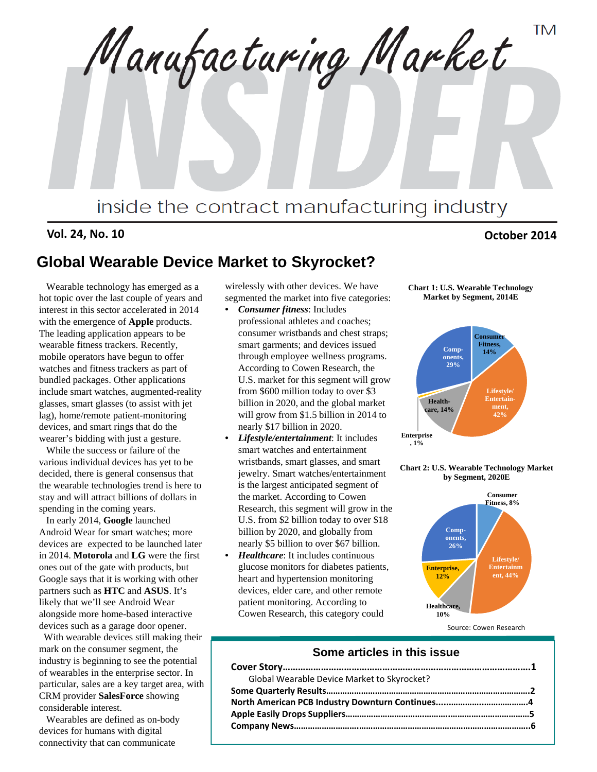**TM** Manufacturing Market inside the contract manufacturing industry

**Vol. 24, No. 10 October 2014**

# **Global Wearable Device Market to Skyrocket?**

Wearable technology has emerged as a hot topic over the last couple of years and interest in this sector accelerated in 2014 with the emergence of **Apple** products. The leading application appears to be wearable fitness trackers. Recently, mobile operators have begun to offer watches and fitness trackers as part of bundled packages. Other applications include smart watches, augmented-reality glasses, smart glasses (to assist with jet lag), home/remote patient-monitoring devices, and smart rings that do the wearer's bidding with just a gesture.

While the success or failure of the various individual devices has yet to be decided, there is general consensus that the wearable technologies trend is here to stay and will attract billions of dollars in spending in the coming years.

In early 2014, **Google** launched Android Wear for smart watches; more devices are expected to be launched later in 2014. **Motorola** and **LG** were the first ones out of the gate with products, but Google says that it is working with other partners such as **HTC** and **ASUS**. It's likely that we'll see Android Wear alongside more home-based interactive devices such as a garage door opener.

With wearable devices still making their mark on the consumer segment, the industry is beginning to see the potential of wearables in the enterprise sector. In particular, sales are a key target area, with CRM provider **SalesForce** showing considerable interest.

Wearables are defined as on-body devices for humans with digital connectivity that can communicate

wirelessly with other devices. We have segmented the market into five categories:

- *Consumer fitness*: Includes professional athletes and coaches; consumer wristbands and chest straps; smart garments; and devices issued through employee wellness programs. According to Cowen Research, the U.S. market for this segment will grow from \$600 million today to over \$3 billion in 2020, and the global market will grow from \$1.5 billion in 2014 to nearly \$17 billion in 2020.
- *Lifestyle/entertainment*: It includes smart watches and entertainment wristbands, smart glasses, and smart jewelry. Smart watches/entertainment is the largest anticipated segment of the market. According to Cowen Research, this segment will grow in the U.S. from \$2 billion today to over \$18 billion by 2020, and globally from nearly \$5 billion to over \$67 billion.
- *Healthcare*: It includes continuous glucose monitors for diabetes patients, heart and hypertension monitoring devices, elder care, and other remote patient monitoring. According to Cowen Research, this category could





**Chart 2: U.S. Wearable Technology Market by Segment, 2020E**



Source: Cowen Research

#### **Some articles in this issue**

| Global Wearable Device Market to Skyrocket? |  |
|---------------------------------------------|--|
|                                             |  |
|                                             |  |
|                                             |  |
|                                             |  |
|                                             |  |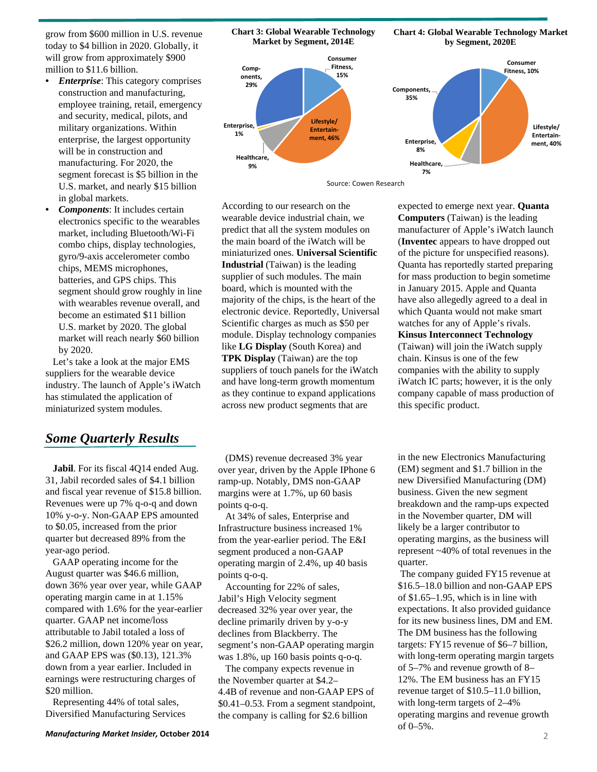grow from \$600 million in U.S. revenue today to \$4 billion in 2020. Globally, it will grow from approximately \$900 million to \$11.6 billion.

- *Enterprise*: This category comprises construction and manufacturing, employee training, retail, emergency and security, medical, pilots, and military organizations. Within enterprise, the largest opportunity will be in construction and manufacturing. For 2020, the segment forecast is \$5 billion in the U.S. market, and nearly \$15 billion in global markets.
- *Components*: It includes certain electronics specific to the wearables market, including Bluetooth/Wi-Fi combo chips, display technologies, gyro/9-axis accelerometer combo chips, MEMS microphones, batteries, and GPS chips. This segment should grow roughly in line with wearables revenue overall, and become an estimated \$11 billion U.S. market by 2020. The global market will reach nearly \$60 billion by 2020.

Let's take a look at the major EMS suppliers for the wearable device industry. The launch of Apple's iWatch has stimulated the application of miniaturized system modules.

## *Some Quarterly Results*

**Jabil**. For its fiscal 4Q14 ended Aug. 31, Jabil recorded sales of \$4.1 billion and fiscal year revenue of \$15.8 billion. Revenues were up 7% q-o-q and down 10% y-o-y. Non-GAAP EPS amounted to \$0.05, increased from the prior quarter but decreased 89% from the year-ago period.

GAAP operating income for the August quarter was \$46.6 million, down 36% year over year, while GAAP operating margin came in at 1.15% compared with 1.6% for the year-earlier quarter. GAAP net income/loss attributable to Jabil totaled a loss of \$26.2 million, down 120% year on year, and GAAP EPS was (\$0.13), 121.3% down from a year earlier. Included in earnings were restructuring charges of \$20 million.

Representing 44% of total sales, Diversified Manufacturing Services

**Chart 3: Global Wearable Technology Market by Segment, 2014E**

**Chart 4: Global Wearable Technology Market by Segment, 2020E**



Source: Cowen Research

According to our research on the wearable device industrial chain, we predict that all the system modules on the main board of the iWatch will be miniaturized ones. **Universal Scientific Industrial** (Taiwan) is the leading supplier of such modules. The main board, which is mounted with the majority of the chips, is the heart of the electronic device. Reportedly, Universal Scientific charges as much as \$50 per module. Display technology companies like **LG Display** (South Korea) and **TPK Display** (Taiwan) are the top suppliers of touch panels for the iWatch and have long-term growth momentum as they continue to expand applications across new product segments that are

(DMS) revenue decreased 3% year over year, driven by the Apple IPhone 6 ramp-up. Notably, DMS non-GAAP margins were at 1.7%, up 60 basis points q-o-q.

At 34% of sales, Enterprise and Infrastructure business increased 1% from the year-earlier period. The E&I segment produced a non-GAAP operating margin of 2.4%, up 40 basis points q-o-q.

Accounting for 22% of sales, Jabil's High Velocity segment decreased 32% year over year, the decline primarily driven by y-o-y declines from Blackberry. The segment's non-GAAP operating margin was 1.8%, up 160 basis points q-o-q.

The company expects revenue in the November quarter at \$4.2– 4.4B of revenue and non-GAAP EPS of \$0.41–0.53. From a segment standpoint, the company is calling for \$2.6 billion

expected to emerge next year. **Quanta Computers** (Taiwan) is the leading manufacturer of Apple's iWatch launch (**Inventec** appears to have dropped out of the picture for unspecified reasons). Quanta has reportedly started preparing for mass production to begin sometime in January 2015. Apple and Quanta have also allegedly agreed to a deal in which Quanta would not make smart watches for any of Apple's rivals. **Kinsus Interconnect Technology**  (Taiwan) will join the iWatch supply chain. Kinsus is one of the few

companies with the ability to supply iWatch IC parts; however, it is the only company capable of mass production of this specific product.

in the new Electronics Manufacturing (EM) segment and \$1.7 billion in the new Diversified Manufacturing (DM) business. Given the new segment breakdown and the ramp-ups expected in the November quarter, DM will likely be a larger contributor to operating margins, as the business will represent ~40% of total revenues in the quarter.

The company guided FY15 revenue at \$16.5–18.0 billion and non-GAAP EPS of \$1.65–1.95, which is in line with expectations. It also provided guidance for its new business lines, DM and EM. The DM business has the following targets: FY15 revenue of \$6–7 billion, with long-term operating margin targets of 5–7% and revenue growth of 8– 12%. The EM business has an FY15 revenue target of \$10.5–11.0 billion, with long-term targets of 2–4% operating margins and revenue growth of 0–5%.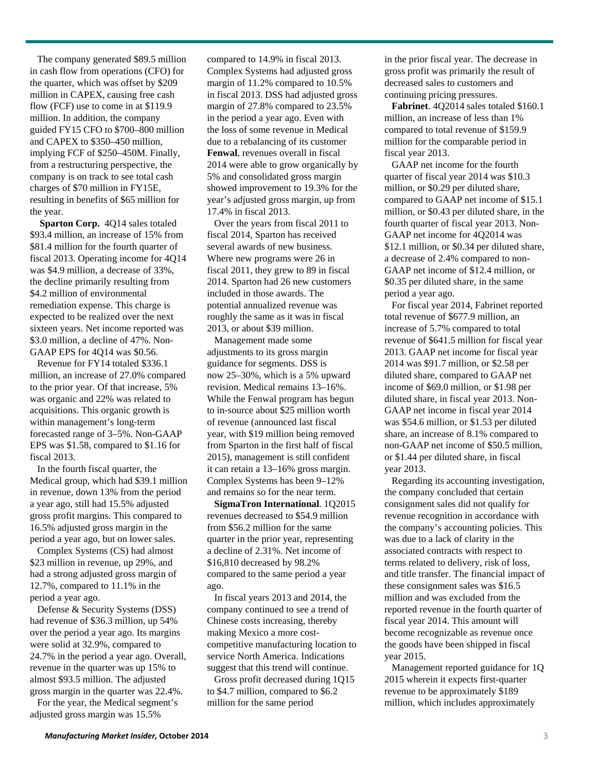The company generated \$89.5 million in cash flow from operations (CFO) for the quarter, which was offset by \$209 million in CAPEX, causing free cash flow (FCF) use to come in at \$119.9 million. In addition, the company guided FY15 CFO to \$700–800 million and CAPEX to \$350–450 million, implying FCF of \$250–450M. Finally, from a restructuring perspective, the company is on track to see total cash charges of \$70 million in FY15E, resulting in benefits of \$65 million for the year.

**Sparton Corp.** 4Q14 sales totaled \$93.4 million, an increase of 15% from \$81.4 million for the fourth quarter of fiscal 2013. Operating income for 4Q14 was \$4.9 million, a decrease of 33%, the decline primarily resulting from \$4.2 million of environmental remediation expense. This charge is expected to be realized over the next sixteen years. Net income reported was \$3.0 million, a decline of 47%. Non-GAAP EPS for 4Q14 was \$0.56.

Revenue for FY14 totaled \$336.1 million, an increase of 27.0% compared to the prior year. Of that increase, 5% was organic and 22% was related to acquisitions. This organic growth is within management's long-term forecasted range of 3–5%. Non-GAAP EPS was \$1.58, compared to \$1.16 for fiscal 2013.

In the fourth fiscal quarter, the Medical group, which had \$39.1 million in revenue, down 13% from the period a year ago, still had 15.5% adjusted gross profit margins. This compared to 16.5% adjusted gross margin in the period a year ago, but on lower sales.

Complex Systems (CS) had almost \$23 million in revenue, up 29%, and had a strong adjusted gross margin of 12.7%, compared to 11.1% in the period a year ago.

Defense & Security Systems (DSS) had revenue of \$36.3 million, up 54% over the period a year ago. Its margins were solid at 32.9%, compared to 24.7% in the period a year ago. Overall, revenue in the quarter was up 15% to almost \$93.5 million. The adjusted gross margin in the quarter was 22.4%.

For the year, the Medical segment's adjusted gross margin was 15.5%

compared to 14.9% in fiscal 2013. Complex Systems had adjusted gross margin of 11.2% compared to 10.5% in fiscal 2013. DSS had adjusted gross margin of 27.8% compared to 23.5% in the period a year ago. Even with the loss of some revenue in Medical due to a rebalancing of its customer **Fenwal**, revenues overall in fiscal 2014 were able to grow organically by 5% and consolidated gross margin showed improvement to 19.3% for the year's adjusted gross margin, up from 17.4% in fiscal 2013.

Over the years from fiscal 2011 to fiscal 2014, Sparton has received several awards of new business. Where new programs were 26 in fiscal 2011, they grew to 89 in fiscal 2014. Sparton had 26 new customers included in those awards. The potential annualized revenue was roughly the same as it was in fiscal 2013, or about \$39 million.

Management made some adjustments to its gross margin guidance for segments. DSS is now 25–30%, which is a 5% upward revision. Medical remains 13–16%. While the Fenwal program has begun to in‐source about \$25 million worth of revenue (announced last fiscal year, with \$19 million being removed from Sparton in the first half of fiscal 2015), management is still confident it can retain a 13–16% gross margin. Complex Systems has been 9–12% and remains so for the near term.

**SigmaTron International**. 1Q2015 revenues decreased to \$54.9 million from \$56.2 million for the same quarter in the prior year, representing a decline of 2.31%. Net income of \$16,810 decreased by 98.2% compared to the same period a year ago.

In fiscal years 2013 and 2014, the company continued to see a trend of Chinese costs increasing, thereby making Mexico a more costcompetitive manufacturing location to service North America. Indications suggest that this trend will continue.

Gross profit decreased during 1Q15 to \$4.7 million, compared to \$6.2 million for the same period

in the prior fiscal year. The decrease in gross profit was primarily the result of decreased sales to customers and continuing pricing pressures.

**Fabrinet**. 4Q2014 sales totaled \$160.1 million, an increase of less than 1% compared to total revenue of \$159.9 million for the comparable period in fiscal year 2013.

GAAP net income for the fourth quarter of fiscal year 2014 was \$10.3 million, or \$0.29 per diluted share, compared to GAAP net income of \$15.1 million, or \$0.43 per diluted share, in the fourth quarter of fiscal year 2013. Non-GAAP net income for 4Q2014 was \$12.1 million, or \$0.34 per diluted share, a decrease of 2.4% compared to non-GAAP net income of \$12.4 million, or \$0.35 per diluted share, in the same period a year ago.

For fiscal year 2014, Fabrinet reported total revenue of \$677.9 million, an increase of 5.7% compared to total revenue of \$641.5 million for fiscal year 2013. GAAP net income for fiscal year 2014 was \$91.7 million, or \$2.58 per diluted share, compared to GAAP net income of \$69.0 million, or \$1.98 per diluted share, in fiscal year 2013. Non-GAAP net income in fiscal year 2014 was \$54.6 million, or \$1.53 per diluted share, an increase of 8.1% compared to non-GAAP net income of \$50.5 million, or \$1.44 per diluted share, in fiscal year 2013.

Regarding its accounting investigation, the company concluded that certain consignment sales did not qualify for revenue recognition in accordance with the company's accounting policies. This was due to a lack of clarity in the associated contracts with respect to terms related to delivery, risk of loss, and title transfer. The financial impact of these consignment sales was \$16.5 million and was excluded from the reported revenue in the fourth quarter of fiscal year 2014. This amount will become recognizable as revenue once the goods have been shipped in fiscal year 2015.

Management reported guidance for 1Q 2015 wherein it expects first-quarter revenue to be approximately \$189 million, which includes approximately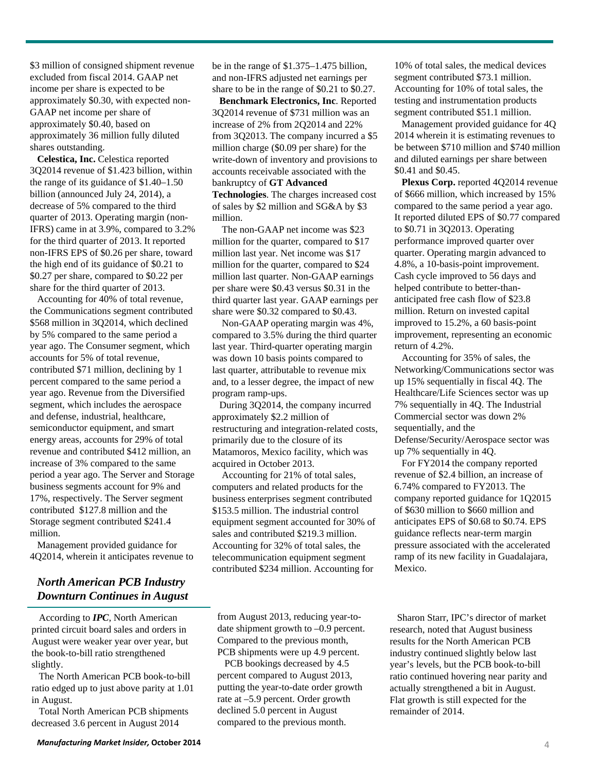*North American PCB Industry* 

million.

According to *IPC*, North American printed circuit board sales and orders in August were weaker year over year, but the book-to-bill ratio strengthened slightly.

*Downturn Continues in August*

Management provided guidance for 4Q2014, wherein it anticipates revenue to

\$3 million of consigned shipment revenue excluded from fiscal 2014. GAAP net income per share is expected to be approximately \$0.30, with expected non-

GAAP net income per share of approximately \$0.40, based on approximately 36 million fully diluted

**Celestica, Inc.** Celestica reported 3Q2014 revenue of \$1.423 billion, within the range of its guidance of \$1.40–1.50 billion (announced July 24, 2014), a decrease of 5% compared to the third quarter of 2013. Operating margin (non-IFRS) came in at 3.9%, compared to 3.2% for the third quarter of 2013. It reported non-IFRS EPS of \$0.26 per share, toward the high end of its guidance of \$0.21 to \$0.27 per share, compared to \$0.22 per share for the third quarter of 2013. Accounting for 40% of total revenue, the Communications segment contributed \$568 million in 3Q2014, which declined by 5% compared to the same period a year ago. The Consumer segment, which accounts for 5% of total revenue, contributed \$71 million, declining by 1 percent compared to the same period a year ago. Revenue from the Diversified segment, which includes the aerospace and defense, industrial, healthcare, semiconductor equipment, and smart energy areas, accounts for 29% of total revenue and contributed \$412 million, an increase of 3% compared to the same period a year ago. The Server and Storage business segments account for 9% and 17%, respectively. The Server segment contributed \$127.8 million and the Storage segment contributed \$241.4

shares outstanding.

The North American PCB book-to-bill ratio edged up to just above parity at 1.01 in August.

Total North American PCB shipments decreased 3.6 percent in August 2014

be in the range of \$1.375–1.475 billion, and non-IFRS adjusted net earnings per share to be in the range of \$0.21 to \$0.27.

**Benchmark Electronics, Inc**. Reported 3Q2014 revenue of \$731 million was an increase of 2% from 2Q2014 and 22% from 3Q2013. The company incurred a \$5 million charge (\$0.09 per share) for the write-down of inventory and provisions to accounts receivable associated with the bankruptcy of **GT Advanced Technologies**. The charges increased cost of sales by \$2 million and SG&A by \$3 million.

The non-GAAP net income was \$23 million for the quarter, compared to \$17 million last year. Net income was \$17 million for the quarter, compared to \$24 million last quarter. Non-GAAP earnings per share were \$0.43 versus \$0.31 in the third quarter last year. GAAP earnings per share were \$0.32 compared to \$0.43.

Non-GAAP operating margin was 4%, compared to 3.5% during the third quarter last year. Third-quarter operating margin was down 10 basis points compared to last quarter, attributable to revenue mix and, to a lesser degree, the impact of new program ramp-ups.

During 3Q2014, the company incurred approximately \$2.2 million of restructuring and integration-related costs, primarily due to the closure of its Matamoros, Mexico facility, which was acquired in October 2013.

Accounting for 21% of total sales, computers and related products for the business enterprises segment contributed \$153.5 million. The industrial control equipment segment accounted for 30% of sales and contributed \$219.3 million. Accounting for 32% of total sales, the telecommunication equipment segment contributed \$234 million. Accounting for

from August 2013, reducing year-todate shipment growth to –0.9 percent. Compared to the previous month, PCB shipments were up 4.9 percent.

PCB bookings decreased by 4.5 percent compared to August 2013, putting the year-to-date order growth rate at –5.9 percent. Order growth declined 5.0 percent in August compared to the previous month.

10% of total sales, the medical devices segment contributed \$73.1 million. Accounting for 10% of total sales, the testing and instrumentation products segment contributed \$51.1 million.

Management provided guidance for 4Q 2014 wherein it is estimating revenues to be between \$710 million and \$740 million and diluted earnings per share between \$0.41 and \$0.45.

Plexus Corp. reported 4Q2014 revenue of \$666 million, which increased by 15% compared to the same period a year ago. It reported diluted EPS of \$0.77 compared to \$0.71 in 3Q2013. Operating performance improved quarter over quarter. Operating margin advanced to 4.8%, a 10-basis-point improvement. Cash cycle improved to 56 days and helped contribute to better-thananticipated free cash flow of \$23.8 million. Return on invested capital improved to 15.2%, a 60 basis-point improvement, representing an economic return of 4.2%.

Accounting for 35% of sales, the Networking/Communications sector was up 15% sequentially in fiscal 4Q. The Healthcare/Life Sciences sector was up 7% sequentially in 4Q. The Industrial Commercial sector was down 2% sequentially, and the Defense/Security/Aerospace sector was up 7% sequentially in 4Q.

For FY2014 the company reported revenue of \$2.4 billion, an increase of 6.74% compared to FY2013. The company reported guidance for 1Q2015 of \$630 million to \$660 million and anticipates EPS of \$0.68 to \$0.74. EPS guidance reflects near-term margin pressure associated with the accelerated ramp of its new facility in Guadalajara, Mexico.

Sharon Starr, IPC's director of market research, noted that August business results for the North American PCB industry continued slightly below last year's levels, but the PCB book-to-bill ratio continued hovering near parity and actually strengthened a bit in August. Flat growth is still expected for the remainder of 2014.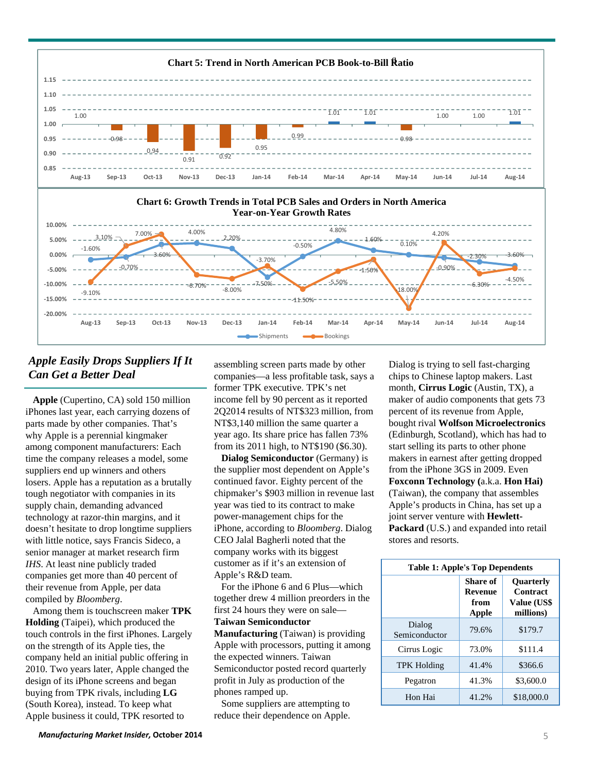

## *Apple Easily Drops Suppliers If It Can Get a Better Deal*

**Apple** (Cupertino, CA) sold 150 million iPhones last year, each carrying dozens of parts made by other companies. That's why Apple is a perennial kingmaker among component manufacturers: Each time the company releases a model, some suppliers end up winners and others losers. Apple has a reputation as a brutally tough negotiator with companies in its supply chain, demanding advanced technology at razor-thin margins, and it doesn't hesitate to drop longtime suppliers with little notice, says Francis Sideco, a senior manager at market research firm *IHS*. At least nine publicly traded companies get more than 40 percent of their revenue from Apple, per data compiled by *Bloomberg*.

Among them is touchscreen maker **TPK Holding** (Taipei), which produced the touch controls in the first iPhones. Largely on the strength of its Apple ties, the company held an initial public offering in 2010. Two years later, Apple changed the design of its iPhone screens and began buying from TPK rivals, including **LG** (South Korea), instead. To keep what Apple business it could, TPK resorted to

assembling screen parts made by other companies—a less profitable task, says a former TPK executive. TPK's net income fell by 90 percent as it reported 2Q2014 results of NT\$323 million, from NT\$3,140 million the same quarter a year ago. Its share price has fallen 73% from its 2011 high, to NT\$190 (\$6.30).

**Dialog Semiconductor** (Germany) is the supplier most dependent on Apple's continued favor. Eighty percent of the chipmaker's \$903 million in revenue last year was tied to its contract to make power-management chips for the iPhone, according to *Bloomberg*. Dialog CEO Jalal Bagherli noted that the company works with its biggest customer as if it's an extension of Apple's R&D team.

For the iPhone 6 and 6 Plus—which together drew 4 million preorders in the first 24 hours they were on sale—

**Taiwan Semiconductor** 

**Manufacturing** (Taiwan) is providing Apple with processors, putting it among the expected winners. Taiwan Semiconductor posted record quarterly profit in July as production of the phones ramped up.

Some suppliers are attempting to reduce their dependence on Apple.

Dialog is trying to sell fast-charging chips to Chinese laptop makers. Last month, **Cirrus Logic** (Austin, TX), a maker of audio components that gets 73 percent of its revenue from Apple, bought rival **Wolfson Microelectronics**  (Edinburgh, Scotland), which has had to start selling its parts to other phone makers in earnest after getting dropped from the iPhone 3GS in 2009. Even **Foxconn Technology (**a.k.a. **Hon Hai)**  (Taiwan), the company that assembles Apple's products in China, has set up a joint server venture with **Hewlett-Packard** (U.S.) and expanded into retail stores and resorts.

| <b>Table 1: Apple's Top Dependents</b> |                                      |                                                          |  |
|----------------------------------------|--------------------------------------|----------------------------------------------------------|--|
|                                        | Share of<br>Revenue<br>from<br>Apple | <b>Ouarterly</b><br>Contract<br>Value (US\$<br>millions) |  |
| Dialog<br>Semiconductor                | 79.6%                                | \$179.7                                                  |  |
| Cirrus Logic                           | 73.0%                                | \$111.4                                                  |  |
| <b>TPK Holding</b>                     | 41.4%                                | \$366.6                                                  |  |
| Pegatron                               | 41.3%                                | \$3,600.0                                                |  |
| Hon Hai                                | 41.2%                                | \$18,000.0                                               |  |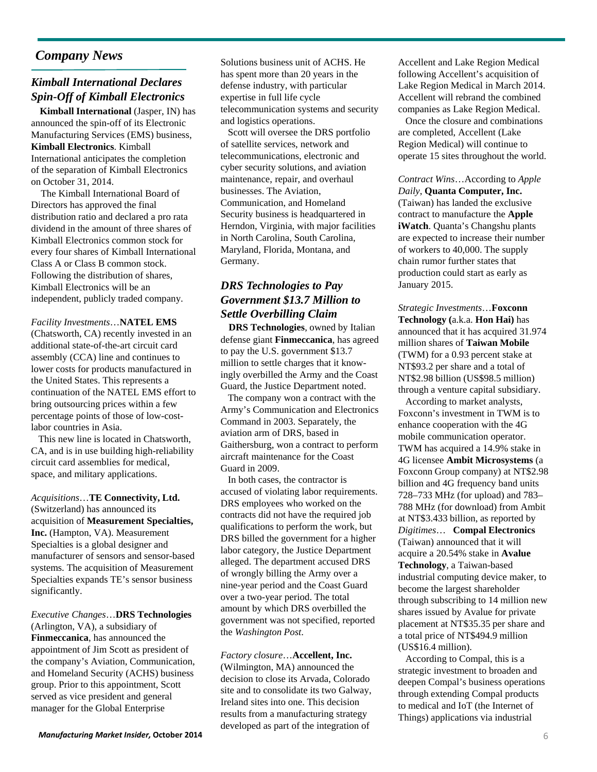## *Company News*

## *Kimball International Declares Spin-Off of Kimball Electronics*

**Kimball International (Jasper, IN) has** announced the spin-off of its Electronic Manufacturing Services (EMS) business, **Kimball Electronics**. Kimball International anticipates the completion of the separation of Kimball Electronics on October 31, 2014.

The Kimball International Board of Directors has approved the final distribution ratio and declared a pro rata dividend in the amount of three shares of Kimball Electronics common stock for every four shares of Kimball International Class A or Class B common stock. Following the distribution of shares, Kimball Electronics will be an independent, publicly traded company.

*Facility Investments*…**NATEL EMS**  (Chatsworth, CA) recently invested in an additional state-of-the-art circuit card assembly (CCA) line and continues to lower costs for products manufactured in the United States. This represents a continuation of the NATEL EMS effort to bring outsourcing prices within a few percentage points of those of low-costlabor countries in Asia.

This new line is located in Chatsworth, CA, and is in use building high-reliability circuit card assemblies for medical, space, and military applications.

*Acquisitions*…**TE Connectivity, Ltd.**  (Switzerland) has announced its acquisition of **Measurement Specialties, Inc.** (Hampton, VA). Measurement Specialties is a global designer and manufacturer of sensors and sensor-based systems. The acquisition of Measurement Specialties expands TE's sensor business significantly.

*Executive Changes*…**DRS Technologies**  (Arlington, VA), a subsidiary of **Finmeccanica**, has announced the appointment of Jim Scott as president of the company's Aviation, Communication, and Homeland Security (ACHS) business group. Prior to this appointment, Scott served as vice president and general manager for the Global Enterprise

Solutions business unit of ACHS. He has spent more than 20 years in the defense industry, with particular expertise in full life cycle telecommunication systems and security and logistics operations.

Scott will oversee the DRS portfolio of satellite services, network and telecommunications, electronic and cyber security solutions, and aviation maintenance, repair, and overhaul businesses. The Aviation, Communication, and Homeland Security business is headquartered in Herndon, Virginia, with major facilities in North Carolina, South Carolina, Maryland, Florida, Montana, and Germany.

#### *DRS Technologies to Pay Government \$13.7 Million to Settle Overbilling Claim*

**DRS Technologies**, owned by Italian defense giant **Finmeccanica**, has agreed to pay the U.S. government \$13.7 million to settle charges that it knowingly overbilled the Army and the Coast Guard, the Justice Department noted.

The company won a contract with the Army's Communication and Electronics Command in 2003. Separately, the aviation arm of DRS, based in Gaithersburg, won a contract to perform aircraft maintenance for the Coast Guard in 2009.

In both cases, the contractor is accused of violating labor requirements. DRS employees who worked on the contracts did not have the required job qualifications to perform the work, but DRS billed the government for a higher labor category, the Justice Department alleged. The department accused DRS of wrongly billing the Army over a nine-year period and the Coast Guard over a two-year period. The total amount by which DRS overbilled the government was not specified, reported the *Washington Post*.

#### *Factory closure*…**Accellent, Inc.**

(Wilmington, MA) announced the decision to close its Arvada, Colorado site and to consolidate its two Galway, Ireland sites into one. This decision results from a manufacturing strategy developed as part of the integration of

Accellent and Lake Region Medical following Accellent's acquisition of Lake Region Medical in March 2014. Accellent will rebrand the combined companies as Lake Region Medical.

Once the closure and combinations are completed, Accellent (Lake Region Medical) will continue to operate 15 sites throughout the world.

*Contract Wins*…According to *Apple Daily*, **Quanta Computer, Inc.**  (Taiwan) has landed the exclusive contract to manufacture the **Apple iWatch**. Quanta's Changshu plants are expected to increase their number of workers to 40,000. The supply chain rumor further states that production could start as early as January 2015.

*Strategic Investments*…**Foxconn Technology (**a.k.a. **Hon Hai)** has announced that it has acquired 31.974 million shares of **Taiwan Mobile**  (TWM) for a 0.93 percent stake at NT\$93.2 per share and a total of NT\$2.98 billion (US\$98.5 million) through a venture capital subsidiary.

According to market analysts, Foxconn's investment in TWM is to enhance cooperation with the 4G mobile communication operator. TWM has acquired a 14.9% stake in 4G licensee **Ambit Microsystems** (a Foxconn Group company) at NT\$2.98 billion and 4G frequency band units 728–733 MHz (for upload) and 783– 788 MHz (for download) from Ambit at NT\$3.433 billion, as reported by *Digitimes*… **Compal Electronics**  (Taiwan) announced that it will acquire a 20.54% stake in **Avalue Technology**, a Taiwan-based industrial computing device maker, to become the largest shareholder through subscribing to 14 million new shares issued by Avalue for private placement at NT\$35.35 per share and a total price of NT\$494.9 million (US\$16.4 million).

According to Compal, this is a strategic investment to broaden and deepen Compal's business operations through extending Compal products to medical and IoT (the Internet of Things) applications via industrial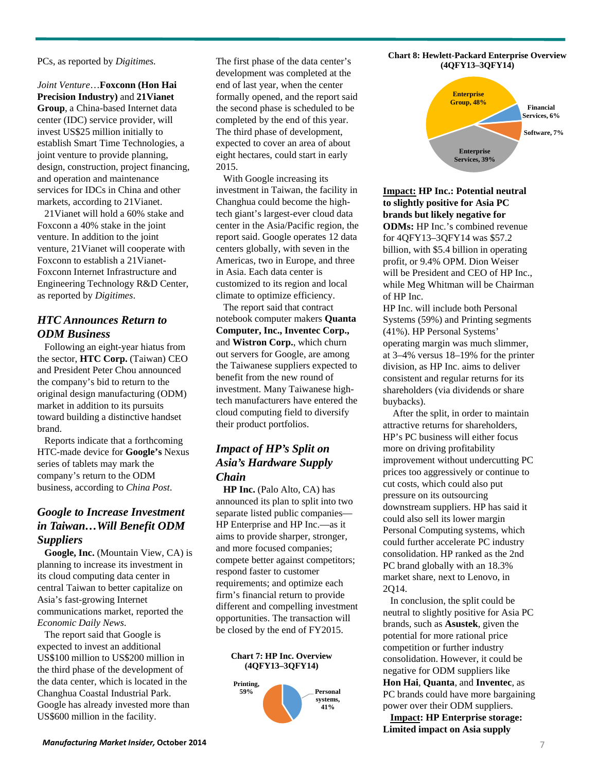PCs, as reported by *Digitimes.*

*Joint Venture*…**Foxconn (Hon Hai Precision Industry)** and **21Vianet Group**, a China-based Internet data center (IDC) service provider, will invest US\$25 million initially to establish Smart Time Technologies, a joint venture to provide planning, design, construction, project financing, and operation and maintenance services for IDCs in China and other markets, according to 21Vianet.

21Vianet will hold a 60% stake and Foxconn a 40% stake in the joint venture. In addition to the joint venture, 21Vianet will cooperate with Foxconn to establish a 21Vianet-Foxconn Internet Infrastructure and Engineering Technology R&D Center, as reported by *Digitimes*.

#### *HTC Announces Return to ODM Business*

Following an eight-year hiatus from the sector, **HTC Corp.** (Taiwan) CEO and President Peter Chou announced the company's bid to return to the original design manufacturing (ODM) market in addition to its pursuits toward building a distinctive handset brand.

Reports indicate that a forthcoming HTC-made device for **Google's** Nexus series of tablets may mark the company's return to the ODM business, according to *China Post*.

#### *Google to Increase Investment in Taiwan…Will Benefit ODM Suppliers*

**Google, Inc.** (Mountain View, CA) is planning to increase its investment in its cloud computing data center in central Taiwan to better capitalize on Asia's fast-growing Internet communications market, reported the *Economic Daily News*.

The report said that Google is expected to invest an additional US\$100 million to US\$200 million in the third phase of the development of the data center, which is located in the Changhua Coastal Industrial Park. Google has already invested more than US\$600 million in the facility.

The first phase of the data center's development was completed at the end of last year, when the center formally opened, and the report said the second phase is scheduled to be completed by the end of this year. The third phase of development, expected to cover an area of about eight hectares, could start in early 2015.

With Google increasing its investment in Taiwan, the facility in Changhua could become the hightech giant's largest-ever cloud data center in the Asia/Pacific region, the report said. Google operates 12 data centers globally, with seven in the Americas, two in Europe, and three in Asia. Each data center is customized to its region and local climate to optimize efficiency.

The report said that contract notebook computer makers **Quanta Computer, Inc., Inventec Corp.,**  and **Wistron Corp.**, which churn out servers for Google, are among the Taiwanese suppliers expected to benefit from the new round of investment. Many Taiwanese hightech manufacturers have entered the cloud computing field to diversify their product portfolios.

## *Impact of HP's Split on Asia's Hardware Supply Chain*

**HP Inc.** (Palo Alto, CA) has announced its plan to split into two separate listed public companies— HP Enterprise and HP Inc.—as it aims to provide sharper, stronger, and more focused companies; compete better against competitors; respond faster to customer requirements; and optimize each firm's financial return to provide different and compelling investment opportunities. The transaction will be closed by the end of FY2015.

#### **Chart 7: HP Inc. Overview (4QFY13–3QFY14)**







**Impact: HP Inc.: Potential neutral to slightly positive for Asia PC brands but likely negative for ODMs:** HP Inc.'s combined revenue for 4QFY13–3QFY14 was \$57.2 billion, with \$5.4 billion in operating profit, or 9.4% OPM. Dion Weiser will be President and CEO of HP Inc.. while Meg Whitman will be Chairman of HP Inc.

HP Inc. will include both Personal Systems (59%) and Printing segments (41%). HP Personal Systems' operating margin was much slimmer, at 3–4% versus 18–19% for the printer division, as HP Inc. aims to deliver consistent and regular returns for its shareholders (via dividends or share buybacks).

After the split, in order to maintain attractive returns for shareholders, HP's PC business will either focus more on driving profitability improvement without undercutting PC prices too aggressively or continue to cut costs, which could also put pressure on its outsourcing downstream suppliers. HP has said it could also sell its lower margin Personal Computing systems, which could further accelerate PC industry consolidation. HP ranked as the 2nd PC brand globally with an 18.3% market share, next to Lenovo, in 2Q14.

In conclusion, the split could be neutral to slightly positive for Asia PC brands, such as **Asustek**, given the potential for more rational price competition or further industry consolidation. However, it could be negative for ODM suppliers like **Hon Hai**, **Quanta**, and **Inventec**, as PC brands could have more bargaining power over their ODM suppliers.

**Impact: HP Enterprise storage: Limited impact on Asia supply**